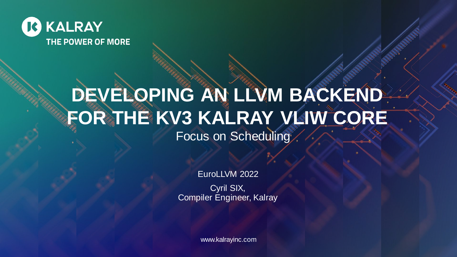

## **DEVELOPING AN LLVM BACKEND FOR THE KV3 KALRAY VLIW CORE** Focus on Scheduling

EuroLLVM 2022

Cyril SIX, Compiler Engineer, Kalray

www.kalrayinc.com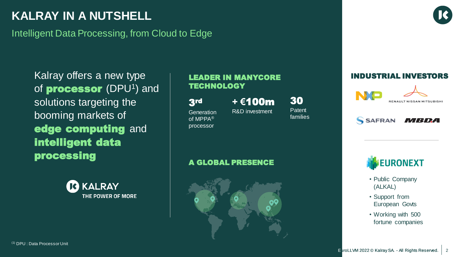## **KALRAY IN A NUTSHELL**

Intelligent Data Processing, from Cloud to Edge

Kalray offers a new type of **processor** (DPU<sup>1</sup>) and solutions targeting the booming markets of edge computing and intelligent data processing



#### LEADER IN MANYCORE **TECHNOLOGY**

3rd

**Generation** of MPPA® processor

**+ €**100m R&D investment

Patent families

30

SAFRAN *MIBDA* 

RENAULT NISSAN MITSUBISHI

INDUSTRIAL INVESTORS

#### A GLOBAL PRESENCE





- Public Company (ALKAL)
- Support from European Govts
- Working with 500 fortune companies

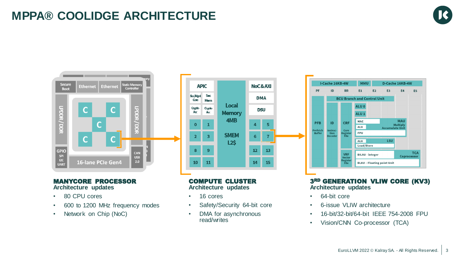## **MPPA® COOLIDGE ARCHITECTURE**





#### MANYCORE PROCESSOR **Architecture updates**

- 80 CPU cores
- 600 to 1200 MHz frequency modes
- Network on Chip (NoC)



#### COMPUTE CLUSTER **Architecture updates**

- 16 cores
- Safety/Security 64-bit core
- DMA for asynchronous read/writes



#### 3RD GENERATION VLIW CORE (KV3) **Architecture updates**

- 64-bit core
- 6-issue VLIW architecture
- 16-bit/32-bit/64-bit IEEE 754-2008 FPU
- Vision/CNN Co-processor (TCA)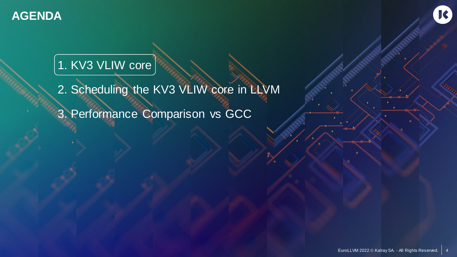

## 1. KV3 VLIW core

2. Scheduling the KV3 VLIW core in LLVM 3. Performance Comparison vs GCC

K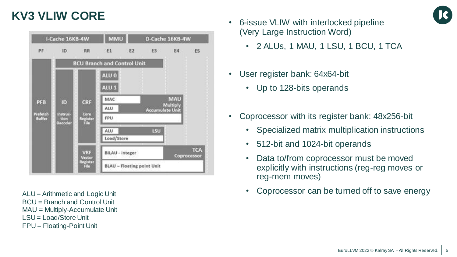## **KV3 VLIW CORE**

|                 | I-Cache 16KB-4W  |                             | <b>MMU</b>                         |           |                        | D-Cache 16KB-4W |                           |
|-----------------|------------------|-----------------------------|------------------------------------|-----------|------------------------|-----------------|---------------------------|
| PF              | ID.              | RR                          | E1                                 | <b>E2</b> | E3                     | E4              | ES                        |
|                 |                  |                             | <b>BCU Branch and Control Unit</b> |           |                        |                 |                           |
|                 |                  |                             | ALU 0                              |           |                        |                 |                           |
|                 |                  |                             | ALU <sub>1</sub>                   |           |                        |                 |                           |
| <b>PFB</b>      | ID               | CRF                         | MAC                                |           |                        | MAU<br>Multiply |                           |
| <b>Prefetch</b> | Core<br>Instruc- |                             | ALU                                |           | <b>Accumulate Unit</b> |                 |                           |
| Buffer          | tion<br>Decoder  | Register<br>File            | FPU                                |           |                        |                 |                           |
|                 |                  |                             | ALU<br>Load/Store                  |           | LSU                    |                 |                           |
|                 |                  |                             |                                    |           |                        |                 |                           |
|                 |                  | <b>VRF</b><br><b>Vector</b> | <b>BILAU - integer</b>             |           |                        |                 | <b>TCA</b><br>Coprocessor |
|                 |                  | Register<br>File            | <b>BLAU - Floating point Unit</b>  |           |                        |                 |                           |

ALU = Arithmetic and Logic Unit BCU = Branch and Control Unit MAU = Multiply-Accumulate Unit LSU = Load/Store Unit FPU = Floating-Point Unit

- 6-issue VLIW with interlocked pipeline (Very Large Instruction Word)
	- 2 ALUs, 1 MAU, 1 LSU, 1 BCU, 1 TCA
- User register bank: 64x64-bit
	- Up to 128-bits operands
- Coprocessor with its register bank: 48x256-bit
	- Specialized matrix multiplication instructions
	- 512-bit and 1024-bit operands
	- Data to/from coprocessor must be moved explicitly with instructions (reg-reg moves or reg-mem moves)
	- Coprocessor can be turned off to save energy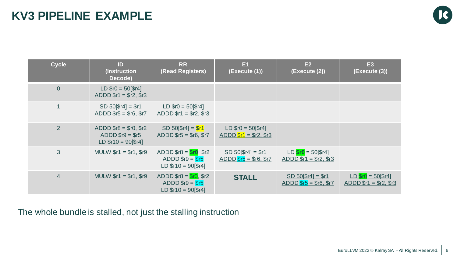| <b>Cycle</b>   | ID<br>(Instruction<br>Decode)                                         | <b>RR</b><br>(Read Registers)                                         | E <sub>1</sub><br>(Execute (1))                    | E2<br>(Execute (2))                               | <b>E3</b><br>(Execute (3))                         |
|----------------|-----------------------------------------------------------------------|-----------------------------------------------------------------------|----------------------------------------------------|---------------------------------------------------|----------------------------------------------------|
| $\mathbf 0$    | $LD$ $$r0 = 50$ [ $$r4$ ]<br>$ADD$ $$r1 = $r2, $r3$                   |                                                                       |                                                    |                                                   |                                                    |
| 1              | $SD 50$ [ $$r4] = $r1$<br>$ADD$ $$r5 = $r6, $r7$                      | $LD$ $$r0 = 50$ [ $$r4$ ]<br>$ADDD$ \$r1 = \$r2, \$r3                 |                                                    |                                                   |                                                    |
| $\overline{2}$ | ADDD $$r8 = $r0, $r2$<br>ADDD $$r9 = $r5$<br>$LD $r10 = 90$ [ $$r4$ ] | $SD 50$ [\$r4] = $$r1$<br>$ADD$ $$r5 = $r6, $r7$                      | $LD$ $$r0 = 50$ [ $$r4$ ]<br>ADDD $$r1 = $r2, $r3$ |                                                   |                                                    |
| 3              | MULW $$r1 = $r1, $r9$                                                 | ADDD $$r8 = $r0, $r2$<br>ADDD $$r9 = $r5$<br>$LD $r10 = 90$ [ $$r4$ ] | $SD 50$ [ $$r4] = $r1$<br>$ADDD$ $$r5 = $r6, $r7$  | $LD$ $Sro$ = 50[\$r4]<br>ADDD $$r1 = $r2, $r3$    |                                                    |
| $\overline{4}$ | MULW $$r1 = $r1, $r9$                                                 | ADDD $$r8 = $r0, $r2$<br>ADDD $$r9 = $r5$<br>$LD $r10 = 90$ [\$r4]    | <b>STALL</b>                                       | $SD 50$ [ $$r4] = $r1$ ]<br>ADDD $$r5 = $r6, $r7$ | $LD$ $$r0 = 50$ [ $$r4$ ]<br>ADDD $$r1 = $r2, $r3$ |

The whole bundle is stalled, not just the stalling instruction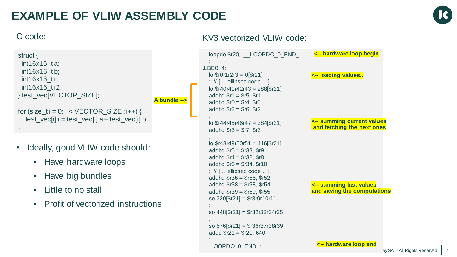## **EXAMPLE OF VLIW ASSEMBLY CODE**



}

```
struct {
 int16x16_t a;
 int16x16 tb;
 int16x16_t r;
 int16x16_t r2;
} test_vec[VECTOR_SIZE];
for (size_t i = 0; i < VECTOR_SIZE; i++) {
  test_vec[i].r = test_vec[i].a + test_vec[i].b;
                                               A bundle -->
```
- Ideally, good VLIW code should:
	- Have hardware loops
	- Have big bundles
	- Little to no stall
	- Profit of vectorized instructions

#### C code: KV3 vectorized VLIW code:

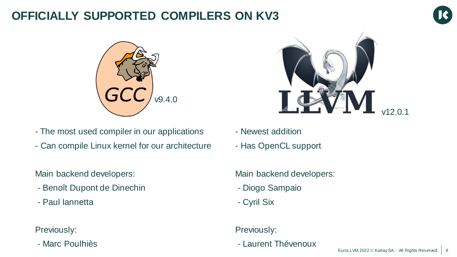## **OFFICIALLY SUPPORTED COMPILERS ON KV3**





- The most used compiler in our applications
- Can compile Linux kernel for our architecture

Main backend developers:

- Benoît Dupont de Dinechin
- Paul Iannetta

Previously:

- Marc Poulhiès



- Newest addition
- Has OpenCL support

Main backend developers:

- Diogo Sampaio
- Cyril Six

#### Previously:

- Laurent Thévenoux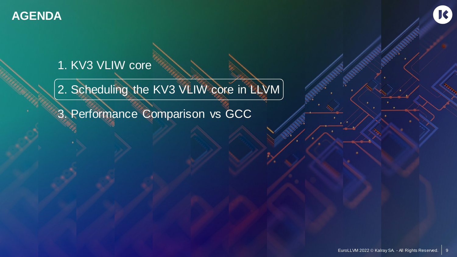

## 1. KV3 VLIW core

2. Scheduling the KV3 VLIW core in LLVM

3. Performance Comparison vs GCC

K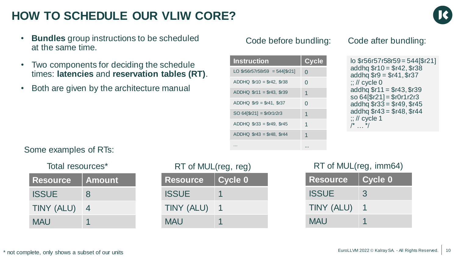## **HOW TO SCHEDULE OUR VLIW CORE?**



- **Bundles** group instructions to be scheduled at the same time.
- Two components for deciding the schedule times: **latencies** and **reservation tables (RT)**.
- Both are given by the architecture manual

#### Code before bundling: Code after bundling:

| <b>Instruction</b>                  | Cycle |
|-------------------------------------|-------|
| LO $$r56r57r58r59 = 544$ [ $$r21$ ] | O     |
| $ADDHQ$ $$r10 = $r42, $r38$         | O     |
| $ADDHQ$ $$r11 = $r43, $r39$         | 1     |
| $ADDHQ$ $$r9 = $r41$ , $$r37$       | ∩     |
| $SO 64$ [ $$r21$ ] = $$r0r1r2r3$    | 1     |
| $ADDHQ$ $$r33 = $r49$ , $$r45$      | 1     |
| $ADDHQ$ $$r43 = $r48$ , $$r44$      | 1     |
|                                     | .     |

| lo \$r56r57r58r59 = 544[\$r21]   |
|----------------------------------|
| addhq $$r10 = $r42, $r38$        |
| addhq $$r9 = $r41, $r37$         |
| $\frac{1}{2}$ // cycle 0         |
| addhq $$r11 = $r43, $r39$        |
| $so 64$ [ $$r21$ ] = $$r0r1r2r3$ |
| addhq $$r33 = $r49, $r45$        |
| addhq $$r43 = $r48, $r44$        |
| $\frac{1}{2}$ // cycle 1         |
| $\frac{1}{\pi}$ $\frac{1}{\pi}$  |
|                                  |

#### Some examples of RTs:

| Total resources* |
|------------------|
|------------------|

| <b>Resource</b> | <b>Amount</b> |
|-----------------|---------------|
| <b>ISSUE</b>    | 8             |
| TINY (ALU)      | 4             |
| <b>MAU</b>      |               |

| Total resources* | RT of MUL(reg, reg) |
|------------------|---------------------|
|------------------|---------------------|

| <b>Resource</b> | <b>Cycle 0</b> |
|-----------------|----------------|
| <b>ISSUE</b>    |                |
| TINY (ALU)      |                |
| <b>MAU</b>      |                |

#### RT of MUL(reg, imm64)

| <b>Resource</b> | <b>Cycle 0</b> |
|-----------------|----------------|
| <b>ISSUE</b>    | 3              |
| TINY (ALU)      |                |
| <b>MAU</b>      |                |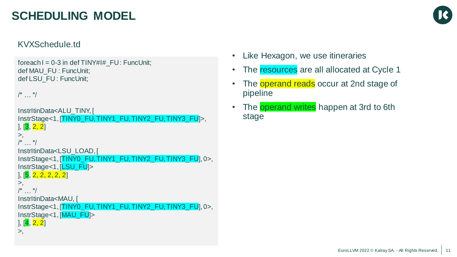## **SCHEDULING MODEL**



#### KVXSchedule.td

```
foreach I = 0-3 in def TINY#I# FU : FuncUnit;
def MAU_FU : FuncUnit;
def LSU_FU : FuncUnit;
```
 $\frac{1}{\sqrt{2}}$  \*/

```
InstrItinData<ALU_TINY, [
InstrStage<1, [TINY0_FU, TINY1_FU, TINY2_FU, TINY3_FU]>,
\vert . \vert \vert 3, 2, 2 \vert>,
\frac{1}{x} */
```

```
InstrItinData<LSU_LOAD, [
InstrStage<1, [TINY0_FU, TINY1_FU, TINY2_FU, TINY3_FU], 0>,
InstrStage<1, [LSU_FU]>
```

```
], [5, 2, 2, 2, 2, 2]
```

```
>,
```

```
\frac{1}{\sqrt{2}} ... \frac{1}{\sqrt{2}}
```

```
InstrItinData<MAU, [
InstrStage<1, [TINY0_FU, TINY1_FU, TINY2_FU, TINY3_FU], 0>,
```

```
InstrStage<1, [MAU_FU]>
```

```
], [4, 2, 2]
```

```
>,
```
- Like Hexagon, we use itineraries
- The resources are all allocated at Cycle 1
- The **operand reads** occur at 2nd stage of pipeline
- The operand writes happen at 3rd to 6th stage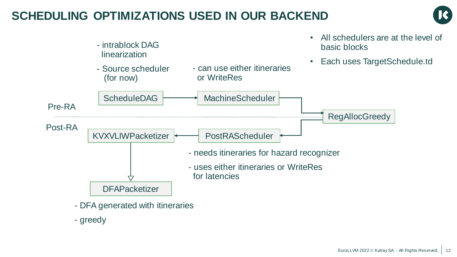## **SCHEDULING OPTIMIZATIONS USED IN OUR BACKEND**





- DFA generated with itineraries

- greedy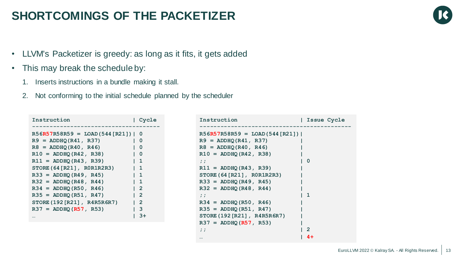### **SHORTCOMINGS OF THE PACKETIZER**

- LLVM's Packetizer is greedy: as long as it fits, it gets added
- This may break the schedule by:
	- 1. Inserts instructions in a bundle making it stall.
	- 2. Not conforming to the initial schedule planned by the scheduler

| Instruction                                                                              | Cycle                                                                                 |
|------------------------------------------------------------------------------------------|---------------------------------------------------------------------------------------|
| $R56R57R58R59 =$ LOAD(544 [R21])   0<br>$R9 = ADDHQ(R41, R37)$<br>$R8 = ADDHQ(R40, R46)$ | - 0<br>- 0                                                                            |
| $R10 = ADDHQ(R42, R38)$<br>$R11 = ADDHQ(R43, R39)$<br>STORE $(64 [R21]$ , ROR1R2R3)      | - 0<br>$\begin{array}{cc} 1 & 1 \end{array}$<br>$\begin{array}{cc} 1 & 1 \end{array}$ |
| $R33 = ADDHQ(R49, R45)$<br>$R32 = ADDHQ(R48, R44)$                                       | $\begin{array}{cc} 1 & 1 \end{array}$<br>$\begin{array}{cc} 1 & 1 \end{array}$        |
| $R34 = ADDHQ(R50, R46)$<br>$R35 = ADDHQ(R51, R47)$<br>STORE (192 [R21], R4R5R6R7)        | $1\quad2$<br>$1\quad 2$<br>$1\quad 2$                                                 |
| $R37 = ADDHQ(R57, R53)$                                                                  | $\overline{\mathbf{3}}$<br>$3+$                                                       |

| Instruction                      | Issue Cycle |
|----------------------------------|-------------|
|                                  |             |
| $R56R57R58R59 =$ LOAD(544 [R21]) |             |
| $R9 = ADDHQ(R41, R37)$           |             |
| $R8 = ADDHQ(R40, R46)$           |             |
| $R10 = ADDHQ(R42, R38)$          |             |
| $\ddot{ }$ ;                     | 0           |
| $R11 = ADDHQ(R43, R39)$          |             |
| STORE (64 [R21], ROR1R2R3)       |             |
| $R33 = ADDHQ(R49, R45)$          |             |
| $R32 = ADDHQ(R48, R44)$          |             |
| $\ddot{ }$ ;                     | 1           |
| $R34 = ADDHQ(R50, R46)$          |             |
| $R35 = ADDHQ(R51, R47)$          |             |
| STORE (192 [R21], R4R5R6R7)      |             |
| $R37 = ADDHQ (R57, R53)$         |             |
| $\ddot{ }$ ;                     | 2           |
|                                  | $4+$        |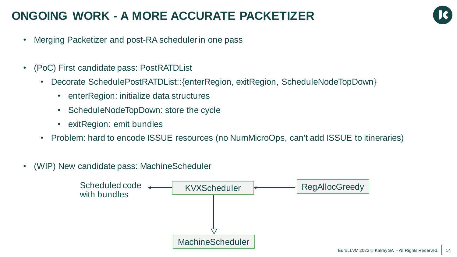## **ONGOING WORK - A MORE ACCURATE PACKETIZER**



- Merging Packetizer and post-RA scheduler in one pass
- (PoC) First candidate pass: PostRATDList
	- Decorate SchedulePostRATDList:: {enterRegion, exitRegion, ScheduleNodeTopDown}
		- enterRegion: initialize data structures
		- ScheduleNodeTopDown: store the cycle
		- exitRegion: emit bundles
	- Problem: hard to encode ISSUE resources (no NumMicroOps, can't add ISSUE to itineraries)
- (WIP) New candidate pass: MachineScheduler

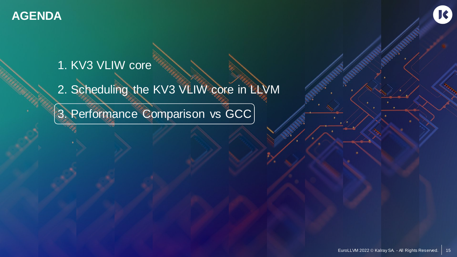

## 1. KV3 VLIW core

2. Scheduling the KV3 VLIW core in LLVM

3. Performance Comparison vs GCC

 $R$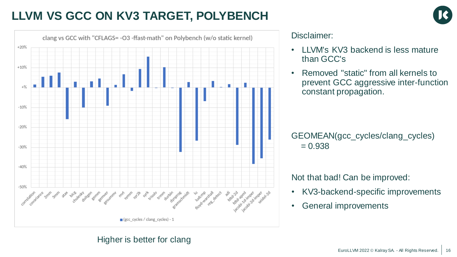## **LLVM VS GCC ON KV3 TARGET, POLYBENCH**



#### Disclaimer:

- LLVM's KV3 backend is less mature than GCC's
- Removed "static" from all kernels to prevent GCC aggressive inter-function constant propagation.

GEOMEAN(gcc\_cycles/clang\_cycles)  $= 0.938$ 

Not that bad! Can be improved:

- KV3-backend-specific improvements
- General improvements

#### Higher is better for clang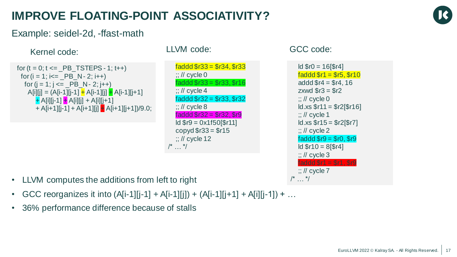## **IMPROVE FLOATING-POINT ASSOCIATIVITY?**



Example: seidel-2d, -ffast-math

### Kernel code: LLVM code: CCC code:

```
for (t = 0; t \le PB TSTEPS - 1; t++)
 for (i = 1; i<= PB N - 2; (i++)for (j = 1; j <= \_PB_N - 2; j++)A[i][j] = (A[i-1][j-1] + A[i-1][j] + A[i-1][j+1]+ A[i][j-1] + A[i][j] + A[i][j+1]
       + A[i+1][j-1] + A[i+1][j] + A[i+1][j+1])/9.0;
```
faddd \$r33 = \$r34, \$r33  $::$  // cycle 0 faddd \$r33 = \$r33, \$r16  $\therefore$  // cycle 4 faddd \$r32 = \$r33, \$r32  $::$  // cycle 8  $faddd$   $f32 = f32, f9$ ld \$r9 = 0x1f50[\$r11] copyd  $$r33 = $r15$  $\therefore$  // cycle 12  $/^*$  …  $*/$ 

 $ld$   $$r0 = 16$ [ $$r4]$ ]  $faddd$   $$r1 = $r5, $r10$ addd  $$r4 = $r4.16$ zxwd  $\$r3 = \$r2$  $::$  // cycle 0  $Id.xs$   $f11 = f2[$ f16]  $\therefore$  // cycle 1  $Id.xs$   $f15 = f2[$ f7]  $\therefore$  // cycle 2 faddd  $$r9 = $r0, $r9$  $ld$  \$r10 = 8[\$r4]  $::$  // cycle 3 faddd \$r1 = \$r1, \$r9  $::$  // cycle  $7$ 

- /\* … \*/ LLVM computes the additions from left to right
- GCC reorganizes it into  $(A[i-1][j-1] + A[i-1][j]) + (A[i-1][j+1] + A[i][j-1]) + ...$
- 36% performance difference because of stalls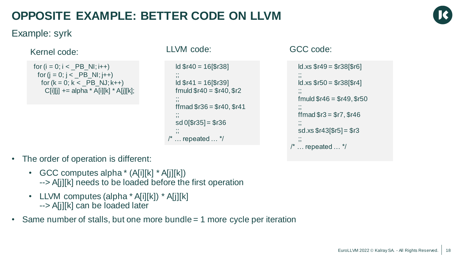## **OPPOSITE EXAMPLE: BETTER CODE ON LLVM**



Example: syrk

### Kernel code: LLVM code: CCC code:

```
for (i = 0; i < PB NI; (i++)for (j = 0; j < \_PB_{N}; j++)for (k = 0; k < PB NJ; k++)
    C[i][j] += alpha * A[i][k] * A[j][k];
```

```
ld $r40 = 16[$r38]
   ;;<br>;;
  Id $r41 = 16[$r39]
  fmuld f(40) = f(40, 5r2);;
  frmad $r36 = $r40, $r41;;
  sd \space 0[\frac{6}{3}r35] = \frac{6}{3}r36
   ;;
/* … repeated … */
```

```
ld.xs $r49 = $r38[$r6]
   ;;
  ld.xs $r50 = $r38[$r4]
   ;;
  fmuld fr46 = fr49, fr50
   ;;
  ffmad \$r3 = \$r7, \$r46;;
  sd.xs $r43[$r5] = $r3
   ;;
/* … repeated … */
```
- The order of operation is different:
	- GCC computes alpha \* (A[i][k] \* A[j][k]) --> A[j][k] needs to be loaded before the first operation
	- LLVM computes (alpha \* A[i][k]) \* A[j][k] --> A[j][k] can be loaded later
- Same number of stalls, but one more bundle = 1 more cycle per iteration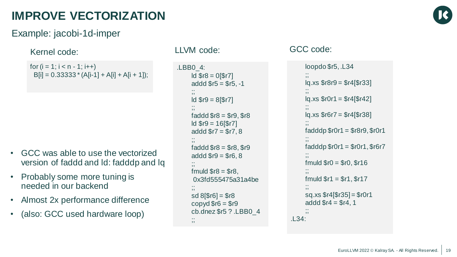## **IMPROVE VECTORIZATION**

#### Example: jacobi-1d-imper

### Kernel code: LLVM code: GCC code:

```
for (i = 1; i < n - 1; i++)B[i] = 0.333333 \cdot (A[i-1] + A[i] + A[i+1]);
```
- GCC was able to use the vectorized version of faddd and ld: fadddp and lq
- Probably some more tuning is needed in our backend
- Almost 2x performance difference
- (also: GCC used hardware loop)

```
.LBB0_4:
     Id $r8 = 0$r7]
     addd \$r5 = \$r5, -1;;
     ld $r9 = 8[$r7]
     ;;
     faddd $r8 = $r9, $r8ld $r9 = 16[$r7]
     addd \frac{6}{7} = \frac{6}{7}, 8
     ;;
     faddd $r8 = $r8, $r9addd $r9 = $r6, 8;;
     fmuld fr8 = fr8,
     0x3fd555475a31a4be
     ;;
     sd 8[$r6] = $r8
     copyd $r6 = $r9cb.dnez $r5 ? .LBB0_4
     ;;
```

```
loopdo $r5, .L34
     ;;
     lq.xs $r8r9 = $r4[$r33]
     ;;
     lq.xs $r0r1 = $r4[$r42]
     ;;
     lq.xs $r6r7 = $r4[$r38]
     ;;
     fadddp $r0r1 = $r8r9, $r0r1
     ;;
     faddp $r0r1 = $r0r1, $r6r7;;
     fmuld f = ffro, f = 6;;
     fmuld f = f = $r1, f;;
     sq.xs $r4[$r35] = $r0r1
     addd \$r4 = \$r4, 1;;
.L34:
```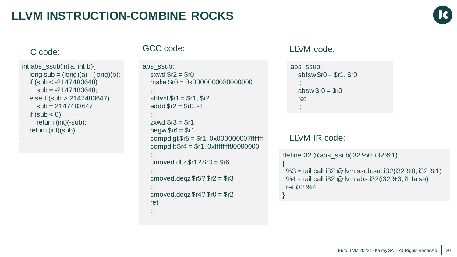## **LLVM INSTRUCTION-COMBINE ROCKS**



```
int abs_ssub(int a, int b){
  long sub = (long)(a) - (long)(b);
  if (sub < -2147483648)
     sub = -2147483648;
  else if (sub > 2147483647)
     sub = 2147483647;
  if (sub < 0)return (int)(-sub);
  return (int)(sub);
}
```

```
abs_ssub:
  sxwd \$r2 = \$r0make $r0 = 0x00000000800000000
  ;;
  sbfwd $r1 = $r1, $r2addd \frac{6}{2} = \frac{6}{2} r0, -1
   ;;<br>;;
  zxwd \$r3 = \$r1new$r6 = $r1compd.gt $r5 = $r1, 0x000000007fffffff
  compd.lt $r4 = $r1, 0xffffffff80000000
   ;;
  cmoved.dltz$r1?$r3 = $r6;;
  cmoved.deqz$r5? $r2 = $r3;;
  cmoved.deqz$r4? $r0 = $r2ret
  ;;
```
### C code: GCC code: LLVM code:

```
abs_ssub:
   \text{sbfsw}\fo = $r1, $r0
   ;;
   absw $r0 = $r0ret
   ;;
```
#### LLVM IR code:

{

define i32 @abs\_ssub(i32 %0, i32 %1)

%3 = tail call i32 @llvm.ssub.sat.i32(i32 %0, i32 %1) %4 = tail call i32 @llvm.abs.i32(i32 %3, i1 false) ret i32 %4 }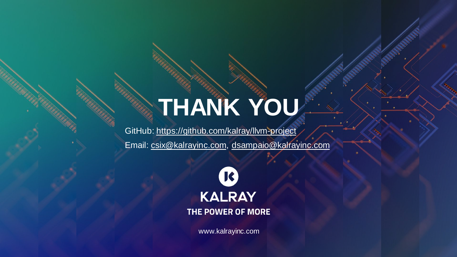# **THANK YOU**

GitHub: <https://github.com/kalray/llvm-project>

Email: [csix@kalrayinc.com,](mailto:csix@kalrayinc.com) [dsampaio@kalrayinc.com](mailto:dsampaio@kalrayinc.com)



www.kalrayinc.com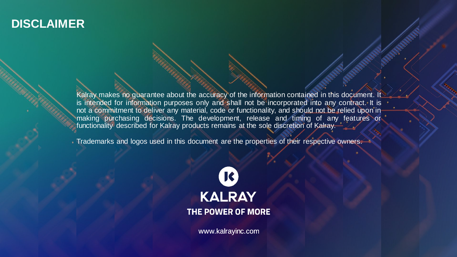### **DISCLAIMER**

Kalray makes no guarantee about the accuracy of the information contained in this document. It is intended for information purposes only and shall not be incorporated into any contract. It is not a commitment to deliver any material, code or functionality, and should not be relied upon in making purchasing decisions. The development, release and timing of any features or functionality described for Kalray products remains at the sole discretion of Kalray.

Trademarks and logos used in this document are the properties of their respective owners.



www.kalrayinc.com